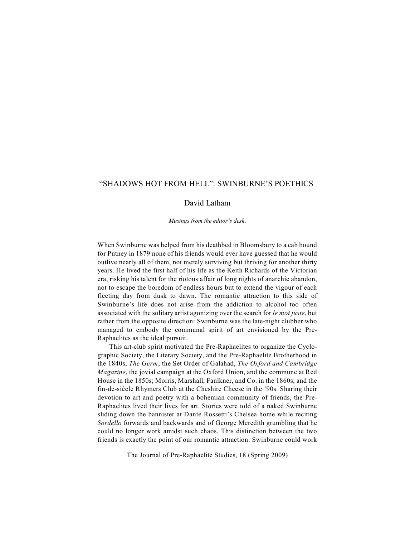# "SHADOWS HOT FROM HELL": SWINBURNE'S POETHICS

## David Latham

*Musings from the editor's desk*.

When Swinburne was helped from his deathbed in Bloomsbury to a cab bound for Putney in 1879 none of his friends would ever have guessed that he would outlive nearly all of them, not merely surviving but thriving for another thirty years. He lived the first half of his life as the Keith Richards of the Victorian era, risking his talent for the riotous affair of long nights of anarchic abandon, not to escape the boredom of endless hours but to extend the vigour of each fleeting day from dusk to dawn. The romantic attraction to this side of Swinburne's life does not arise from the addiction to alcohol too often associated with the solitary artist agonizing over the search for *le mot juste*, but rather from the opposite direction: Swinburne was the late-night clubber who managed to embody the communal spirit of art envisioned by the Pre-Raphaelites as the ideal pursuit.

This art-club spirit motivated the Pre-Raphaelites to organize the Cyclographic Society, the Literary Society, and the Pre-Raphaelite Brotherhood in the 1840s; *The Germ*, the Set Order of Galahad, *The Oxford and Cambridge Magazine*, the jovial campaign at the Oxford Union, and the commune at Red House in the 1850s; Morris, Marshall, Faulkner, and Co. in the 1860s; and the fin-de-siècle Rhymers Club at the Cheshire Cheese in the '90s. Sharing their devotion to art and poetry with a bohemian community of friends, the Pre-Raphaelites lived their lives for art. Stories were told of a naked Swinburne sliding down the bannister at Dante Rossetti's Chelsea home while reciting *Sordello* forwards and backwards and of George Meredith grumbling that he could no longer work amidst such chaos. This distinction between the two friends is exactly the point of our romantic attraction: Swinburne could work

The Journal of Pre-Raphaelite Studies, 18 (Spring 2009)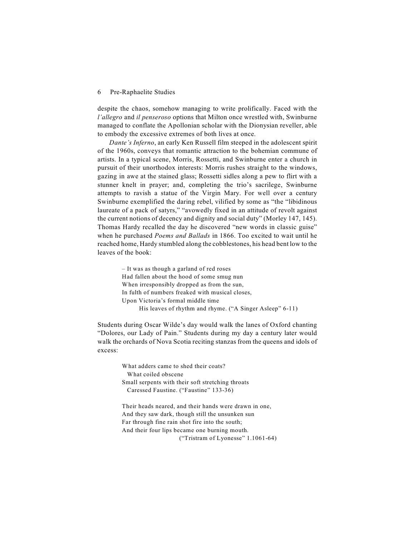despite the chaos, somehow managing to write prolifically. Faced with the *l'allegro* and *il penseroso* options that Milton once wrestled with, Swinburne managed to conflate the Apollonian scholar with the Dionysian reveller, able to embody the excessive extremes of both lives at once.

*Dante's Inferno*, an early Ken Russell film steeped in the adolescent spirit of the 1960s, conveys that romantic attraction to the bohemian commune of artists. In a typical scene, Morris, Rossetti, and Swinburne enter a church in pursuit of their unorthodox interests: Morris rushes straight to the windows, gazing in awe at the stained glass; Rossetti sidles along a pew to flirt with a stunner knelt in prayer; and, completing the trio's sacrilege, Swinburne attempts to ravish a statue of the Virgin Mary. For well over a century Swinburne exemplified the daring rebel, vilified by some as "the "libidinous laureate of a pack of satyrs," "avowedly fixed in an attitude of revolt against the current notions of decency and dignity and social duty" (Morley 147, 145). Thomas Hardy recalled the day he discovered "new words in classic guise" when he purchased *Poems and Ballads* in 1866. Too excited to wait until he reached home, Hardy stumbled along the cobblestones, his head bent low to the leaves of the book:

> – It was as though a garland of red roses Had fallen about the hood of some smug nun When irresponsibly dropped as from the sun, In fulth of numbers freaked with musical closes, Upon Victoria's formal middle time His leaves of rhythm and rhyme. ("A Singer Asleep" 6-11)

Students during Oscar Wilde's day would walk the lanes of Oxford chanting "Dolores, our Lady of Pain." Students during my day a century later would walk the orchards of Nova Scotia reciting stanzas from the queens and idols of excess:

> What adders came to shed their coats? What coiled obscene Small serpents with their soft stretching throats Caressed Faustine. ("Faustine" 133-36)

Their heads neared, and their hands were drawn in one, And they saw dark, though still the unsunken sun Far through fine rain shot fire into the south; And their four lips became one burning mouth. ("Tristram of Lyonesse" 1.1061-64)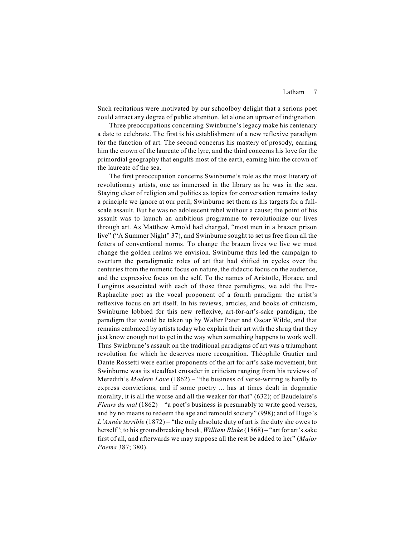## Latham 7

Such recitations were motivated by our schoolboy delight that a serious poet could attract any degree of public attention, let alone an uproar of indignation.

Three preoccupations concerning Swinburne's legacy make his centenary a date to celebrate. The first is his establishment of a new reflexive paradigm for the function of art. The second concerns his mastery of prosody, earning him the crown of the laureate of the lyre, and the third concerns his love for the primordial geography that engulfs most of the earth, earning him the crown of the laureate of the sea.

The first preoccupation concerns Swinburne's role as the most literary of revolutionary artists, one as immersed in the library as he was in the sea. Staying clear of religion and politics as topics for conversation remains today a principle we ignore at our peril; Swinburne set them as his targets for a fullscale assault. But he was no adolescent rebel without a cause; the point of his assault was to launch an ambitious programme to revolutionize our lives through art. As Matthew Arnold had charged, "most men in a brazen prison live" ("A Summer Night" 37), and Swinburne sought to set us free from all the fetters of conventional norms. To change the brazen lives we live we must change the golden realms we envision. Swinburne thus led the campaign to overturn the paradigmatic roles of art that had shifted in cycles over the centuries from the mimetic focus on nature, the didactic focus on the audience, and the expressive focus on the self. To the names of Aristotle, Horace, and Longinus associated with each of those three paradigms, we add the Pre-Raphaelite poet as the vocal proponent of a fourth paradigm: the artist's reflexive focus on art itself. In his reviews, articles, and books of criticism, Swinburne lobbied for this new reflexive, art-for-art's-sake paradigm, the paradigm that would be taken up by Walter Pater and Oscar Wilde, and that remains embraced by artists today who explain their art with the shrug that they just know enough not to get in the way when something happens to work well. Thus Swinburne's assault on the traditional paradigms of art was a triumphant revolution for which he deserves more recognition. Théophile Gautier and Dante Rossetti were earlier proponents of the art for art's sake movement, but Swinburne was its steadfast crusader in criticism ranging from his reviews of Meredith's *Modern Love* (1862) – "the business of verse-writing is hardly to express convictions; and if some poetry ... has at times dealt in dogmatic morality, it is all the worse and all the weaker for that" (632); of Baudelaire's *Fleurs du mal* (1862) – "a poet's business is presumably to write good verses, and by no means to redeem the age and remould society" (998); and of Hugo's *L'Année terrible* (1872) – "the only absolute duty of art is the duty she owes to herself"; to his groundbreaking book, *William Blake* (1868) – "art for art's sake first of all, and afterwards we may suppose all the rest be added to her" (*Major Poems* 387; 380).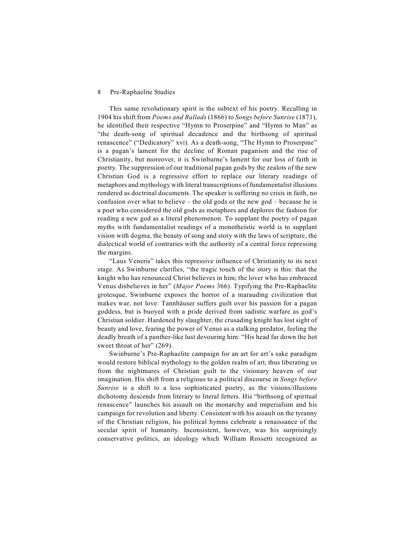This same revolutionary spirit is the subtext of his poetry. Recalling in 1904 his shift from *Poems and Ballads* (1866) to *Songs before Sunrise* (1871), he identified their respective "Hymn to Proserpine" and "Hymn to Man" as "the death-song of spiritual decadence and the birthsong of spiritual renascence" ("Dedicatory" xvi). As a death-song, "The Hymn to Proserpine" is a pagan's lament for the decline of Roman paganism and the rise of Christianity, but moreover, it is Swinburne's lament for our loss of faith in poetry. The suppression of our traditional pagan gods by the zealots of the new Christian God is a regressive effort to replace our literary readings of metaphors and mythology with literal transcriptions of fundamentalist illusions rendered as doctrinal documents. The speaker is suffering no crisis in faith, no confusion over what to believe – the old gods or the new god – because he is a poet who considered the old gods as metaphors and deplores the fashion for reading a new god as a literal phenomenon. To supplant the poetry of pagan myths with fundamentalist readings of a monotheistic world is to supplant vision with dogma, the beauty of song and story with the laws of scripture, the dialectical world of contraries with the authority of a central force repressing the margins.

"Laus Veneris" takes this repressive influence of Christianity to its next stage. As Swinburne clarifies, "the tragic touch of the story is this: that the knight who has renounced Christ believes in him; the lover who has embraced Venus disbelieves in her" (*Major Poems* 366). Typifying the Pre-Raphaelite grotesque, Swinburne exposes the horror of a marauding civilization that makes war, not love: Tannhäuser suffers guilt over his passion for a pagan goddess, but is buoyed with a pride derived from sadistic warfare as god's Christian soldier. Hardened by slaughter, the crusading knight has lost sight of beauty and love, fearing the power of Venus as a stalking predator, feeling the deadly breath of a panther-like lust devouring him: "His head far down the hot sweet throat of her" (269).

Swinburne's Pre-Raphaelite campaign for an art for art's sake paradigm would restore biblical mythology to the golden realm of art, thus liberating us from the nightmares of Christian guilt to the visionary heaven of our imagination. His shift from a religious to a political discourse in *Songs before Sunrise* is a shift to a less sophisticated poetry, as the visions/illusions dichotomy descends from literary to literal fetters. His "birthsong of spiritual renascence" launches his assault on the monarchy and imperialism and his campaign for revolution and liberty. Consistent with his assault on the tyranny of the Christian religion, his political hymns celebrate a renaissance of the secular spirit of humanity. Inconsistent, however, was his surprisingly conservative politics, an ideology which William Rossetti recognized as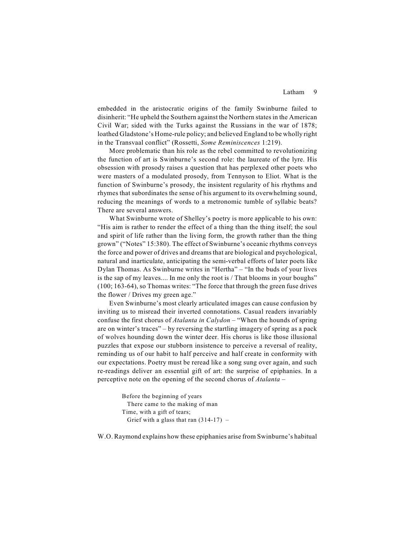## Latham 9

embedded in the aristocratic origins of the family Swinburne failed to disinherit: "He upheld the Southern against the Northern states in the American Civil War; sided with the Turks against the Russians in the war of 1878; loathed Gladstone's Home-rule policy; and believed England to be wholly right in the Transvaal conflict" (Rossetti, *Some Reminiscences* 1:219).

More problematic than his role as the rebel committed to revolutionizing the function of art is Swinburne's second role: the laureate of the lyre. His obsession with prosody raises a question that has perplexed other poets who were masters of a modulated prosody, from Tennyson to Eliot. What is the function of Swinburne's prosody, the insistent regularity of his rhythms and rhymes that subordinates the sense of his argument to its overwhelming sound, reducing the meanings of words to a metronomic tumble of syllabic beats? There are several answers.

What Swinburne wrote of Shelley's poetry is more applicable to his own: "His aim is rather to render the effect of a thing than the thing itself; the soul and spirit of life rather than the living form, the growth rather than the thing grown" ("Notes" 15:380). The effect of Swinburne's oceanic rhythms conveys the force and power of drives and dreams that are biological and psychological, natural and inarticulate, anticipating the semi-verbal efforts of later poets like Dylan Thomas. As Swinburne writes in "Hertha" – "In the buds of your lives is the sap of my leaves.... In me only the root is / That blooms in your boughs" (100; 163-64), so Thomas writes: "The force that through the green fuse drives the flower / Drives my green age."

Even Swinburne's most clearly articulated images can cause confusion by inviting us to misread their inverted connotations. Casual readers invariably confuse the first chorus of *Atalanta in Calydon* – "When the hounds of spring are on winter's traces" – by reversing the startling imagery of spring as a pack of wolves hounding down the winter deer. His chorus is like those illusional puzzles that expose our stubborn insistence to perceive a reversal of reality, reminding us of our habit to half perceive and half create in conformity with our expectations. Poetry must be reread like a song sung over again, and such re-readings deliver an essential gift of art: the surprise of epiphanies. In a perceptive note on the opening of the second chorus of *Atalanta* –

> Before the beginning of years There came to the making of man Time, with a gift of tears; Grief with a glass that ran  $(314-17)$  –

W.O. Raymond explains how these epiphanies arise from Swinburne's habitual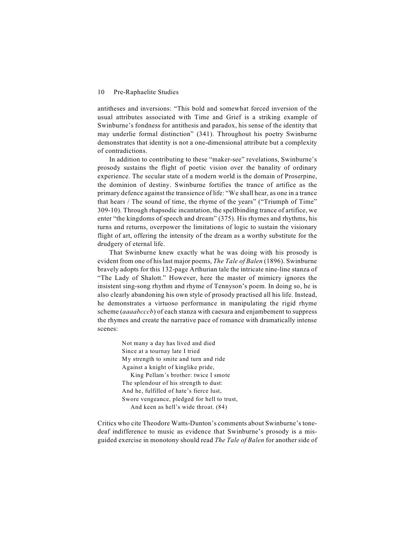antitheses and inversions: "This bold and somewhat forced inversion of the usual attributes associated with Time and Grief is a striking example of Swinburne's fondness for antithesis and paradox, his sense of the identity that may underlie formal distinction" (341). Throughout his poetry Swinburne demonstrates that identity is not a one-dimensional attribute but a complexity of contradictions.

In addition to contributing to these "maker-see" revelations, Swinburne's prosody sustains the flight of poetic vision over the banality of ordinary experience. The secular state of a modern world is the domain of Proserpine, the dominion of destiny. Swinburne fortifies the trance of artifice as the primary defence against the transience of life: "We shall hear, as one in a trance that hears / The sound of time, the rhyme of the years" ("Triumph of Time" 309-10). Through rhapsodic incantation, the spellbinding trance of artifice, we enter "the kingdoms of speech and dream" (375). His rhymes and rhythms, his turns and returns, overpower the limitations of logic to sustain the visionary flight of art, offering the intensity of the dream as a worthy substitute for the drudgery of eternal life.

That Swinburne knew exactly what he was doing with his prosody is evident from one of his last major poems, *The Tale of Balen* (1896). Swinburne bravely adopts for this 132-page Arthurian tale the intricate nine-line stanza of "The Lady of Shalott." However, here the master of mimicry ignores the insistent sing-song rhythm and rhyme of Tennyson's poem. In doing so, he is also clearly abandoning his own style of prosody practised all his life. Instead, he demonstrates a virtuoso performance in manipulating the rigid rhyme scheme (*aaaabcccb*) of each stanza with caesura and enjambement to suppress the rhymes and create the narrative pace of romance with dramatically intense scenes:

> Not many a day has lived and died Since at a tournay late I tried My strength to smite and turn and ride Against a knight of kinglike pride, King Pellam's brother: twice I smote The splendour of his strength to dust: And he, fulfilled of hate's fierce lust, Swore vengeance, pledged for hell to trust, And keen as hell's wide throat. (84)

Critics who cite Theodore Watts-Dunton's comments about Swinburne's tonedeaf indifference to music as evidence that Swinburne's prosody is a misguided exercise in monotony should read *The Tale of Balen* for another side of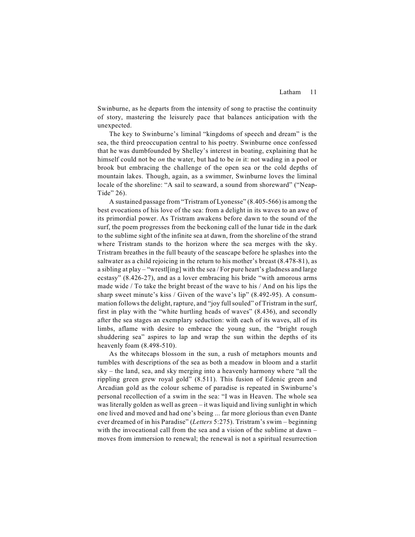Swinburne, as he departs from the intensity of song to practise the continuity of story, mastering the leisurely pace that balances anticipation with the unexpected.

The key to Swinburne's liminal "kingdoms of speech and dream" is the sea, the third preoccupation central to his poetry. Swinburne once confessed that he was dumbfounded by Shelley's interest in boating, explaining that he himself could not be *on* the water, but had to be *in* it: not wading in a pool or brook but embracing the challenge of the open sea or the cold depths of mountain lakes. Though, again, as a swimmer, Swinburne loves the liminal locale of the shoreline: "A sail to seaward, a sound from shoreward" ("Neap-Tide" 26).

A sustained passage from "Tristram of Lyonesse" (8.405-566) is among the best evocations of his love of the sea: from a delight in its waves to an awe of its primordial power. As Tristram awakens before dawn to the sound of the surf, the poem progresses from the beckoning call of the lunar tide in the dark to the sublime sight of the infinite sea at dawn, from the shoreline of the strand where Tristram stands to the horizon where the sea merges with the sky. Tristram breathes in the full beauty of the seascape before he splashes into the saltwater as a child rejoicing in the return to his mother's breast (8.478-81), as a sibling at play – "wrestl[ing] with the sea / For pure heart's gladness and large ecstasy" (8.426-27), and as a lover embracing his bride "with amorous arms made wide / To take the bright breast of the wave to his / And on his lips the sharp sweet minute's kiss / Given of the wave's lip" (8.492-95). A consummation follows the delight, rapture, and "joy full souled" of Tristram in the surf, first in play with the "white hurtling heads of waves" (8.436), and secondly after the sea stages an exemplary seduction: with each of its waves, all of its limbs, aflame with desire to embrace the young sun, the "bright rough shuddering sea" aspires to lap and wrap the sun within the depths of its heavenly foam (8.498-510).

As the whitecaps blossom in the sun, a rush of metaphors mounts and tumbles with descriptions of the sea as both a meadow in bloom and a starlit sky – the land, sea, and sky merging into a heavenly harmony where "all the rippling green grew royal gold" (8.511). This fusion of Edenic green and Arcadian gold as the colour scheme of paradise is repeated in Swinburne's personal recollection of a swim in the sea: "I was in Heaven. The whole sea was literally golden as well as green – it was liquid and living sunlight in which one lived and moved and had one's being ... far more glorious than even Dante ever dreamed of in his Paradise" (*Letters* 5:275). Tristram's swim – beginning with the invocational call from the sea and a vision of the sublime at dawn – moves from immersion to renewal; the renewal is not a spiritual resurrection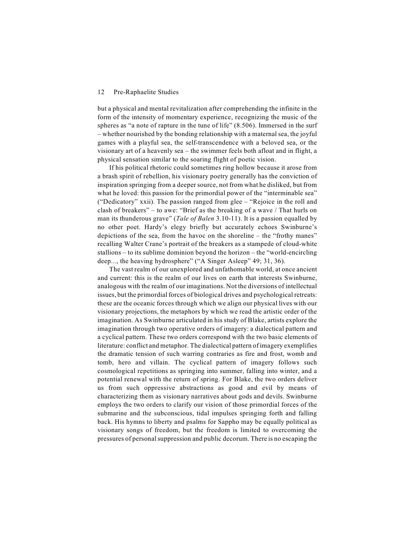but a physical and mental revitalization after comprehending the infinite in the form of the intensity of momentary experience, recognizing the music of the spheres as "a note of rapture in the tune of life" (8.506). Immersed in the surf – whether nourished by the bonding relationship with a maternalsea, the joyful games with a playful sea, the self-transcendence with a beloved sea, or the visionary art of a heavenly sea – the swimmer feels both afloat and in flight, a physical sensation similar to the soaring flight of poetic vision.

If his political rhetoric could sometimes ring hollow because it arose from a brash spirit of rebellion, his visionary poetry generally has the conviction of inspiration springing from a deeper source, not from what he disliked, but from what he loved: this passion for the primordial power of the "interminable sea" ("Dedicatory" xxii). The passion ranged from glee – "Rejoice in the roll and clash of breakers" – to awe: "Brief as the breaking of a wave / That hurls on man its thunderous grave" (*Tale of Balen* 3.10-11). It is a passion equalled by no other poet. Hardy's elegy briefly but accurately echoes Swinburne's depictions of the sea, from the havoc on the shoreline – the "frothy manes" recalling Walter Crane's portrait of the breakers as a stampede of cloud-white stallions – to its sublime dominion beyond the horizon – the "world-encircling deep..., the heaving hydrosphere" ("A Singer Asleep" 49; 31, 36).

The vast realm of our unexplored and unfathomable world, at once ancient and current: this is the realm of our lives on earth that interests Swinburne, analogous with the realm of our imaginations. Not the diversions of intellectual issues, but the primordial forces of biological drives and psychological retreats: these are the oceanic forces through which we align our physical lives with our visionary projections, the metaphors by which we read the artistic order of the imagination. As Swinburne articulated in his study of Blake, artists explore the imagination through two operative orders of imagery: a dialectical pattern and a cyclical pattern. These two orders correspond with the two basic elements of literature: conflict and metaphor. The dialectical pattern of imagery exemplifies the dramatic tension of such warring contraries as fire and frost, womb and tomb, hero and villain. The cyclical pattern of imagery follows such cosmological repetitions as springing into summer, falling into winter, and a potential renewal with the return of spring. For Blake, the two orders deliver us from such oppressive abstractions as good and evil by means of characterizing them as visionary narratives about gods and devils. Swinburne employs the two orders to clarify our vision of those primordial forces of the submarine and the subconscious, tidal impulses springing forth and falling back. His hymns to liberty and psalms for Sappho may be equally political as visionary songs of freedom, but the freedom is limited to overcoming the pressures of personal suppression and public decorum. There is no escaping the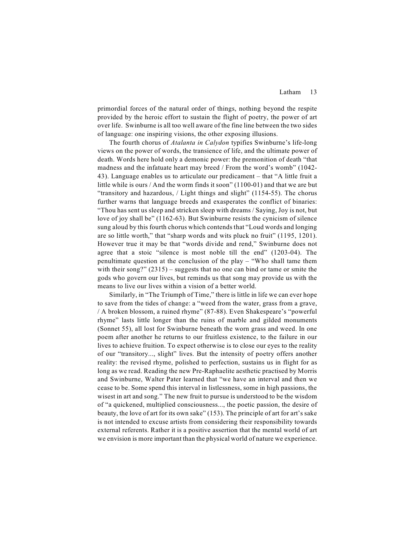primordial forces of the natural order of things, nothing beyond the respite provided by the heroic effort to sustain the flight of poetry, the power of art over life. Swinburne is all too well aware of the fine line between the two sides of language: one inspiring visions, the other exposing illusions.

The fourth chorus of *Atalanta in Calydon* typifies Swinburne's life-long views on the power of words, the transience of life, and the ultimate power of death. Words here hold only a demonic power: the premonition of death "that madness and the infatuate heart may breed / From the word's womb" (1042- 43). Language enables us to articulate our predicament – that "A little fruit a little while is ours / And the worm finds it soon" (1100-01) and that we are but "transitory and hazardous, / Light things and slight" (1154-55). The chorus further warns that language breeds and exasperates the conflict of binaries: "Thou has sent us sleep and stricken sleep with dreams / Saying, Joy is not, but love of joy shall be" (1162-63). But Swinburne resists the cynicism of silence sung aloud by this fourth chorus which contends that "Loud words and longing are so little worth," that "sharp words and wits pluck no fruit" (1195, 1201). However true it may be that "words divide and rend," Swinburne does not agree that a stoic "silence is most noble till the end" (1203-04). The penultimate question at the conclusion of the play – "Who shall tame them with their song?"  $(2315)$  – suggests that no one can bind or tame or smite the gods who govern our lives, but reminds us that song may provide us with the means to live our lives within a vision of a better world.

Similarly, in "The Triumph of Time," there is little in life we can ever hope to save from the tides of change: a "weed from the water, grass from a grave, / A broken blossom, a ruined rhyme" (87-88). Even Shakespeare's "powerful rhyme" lasts little longer than the ruins of marble and gilded monuments (Sonnet 55), all lost for Swinburne beneath the worn grass and weed. In one poem after another he returns to our fruitless existence, to the failure in our lives to achieve fruition. To expect otherwise is to close our eyes to the reality of our "transitory..., slight" lives. But the intensity of poetry offers another reality: the revised rhyme, polished to perfection, sustains us in flight for as long as we read. Reading the new Pre-Raphaelite aesthetic practised by Morris and Swinburne, Walter Pater learned that "we have an interval and then we cease to be. Some spend this interval in listlessness, some in high passions, the wisest in art and song." The new fruit to pursue is understood to be the wisdom of "a quickened, multiplied consciousness..., the poetic passion, the desire of beauty, the love of art for its own sake" (153). The principle of art for art's sake is not intended to excuse artists from considering their responsibility towards external referents. Rather it is a positive assertion that the mental world of art we envision is more important than the physical world of nature we experience.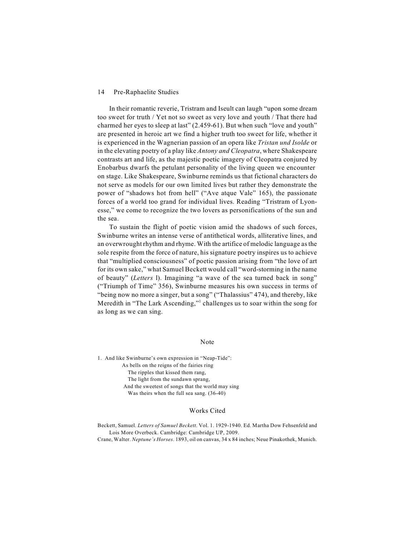In their romantic reverie, Tristram and Iseult can laugh "upon some dream too sweet for truth / Yet not so sweet as very love and youth / That there had charmed her eyes to sleep at last" (2.459-61). But when such "love and youth" are presented in heroic art we find a higher truth too sweet for life, whether it is experienced in the Wagnerian passion of an opera like *Tristan und Isolde* or in the elevating poetry of a play like *Antony and Cleopatra*, where Shakespeare contrasts art and life, as the majestic poetic imagery of Cleopatra conjured by Enobarbus dwarfs the petulant personality of the living queen we encounter on stage. Like Shakespeare, Swinburne reminds us that fictional characters do not serve as models for our own limited lives but rather they demonstrate the power of "shadows hot from hell" ("Ave atque Vale" 165), the passionate forces of a world too grand for individual lives. Reading "Tristram of Lyonesse," we come to recognize the two lovers as personifications of the sun and the sea.

To sustain the flight of poetic vision amid the shadows of such forces, Swinburne writes an intense verse of antithetical words, alliterative lines, and an overwrought rhythm and rhyme. With the artifice of melodic language as the sole respite from the force of nature, his signature poetry inspires us to achieve that "multiplied consciousness" of poetic passion arising from "the love of art for its own sake," what Samuel Beckett would call "word-storming in the name of beauty" (*Letters* l). Imagining "a wave of the sea turned back in song" ("Triumph of Time" 356), Swinburne measures his own success in terms of "being now no more a singer, but a song" ("Thalassius" 474), and thereby, like Meredith in "The Lark Ascending," challenges us to soar within the song for as long as we can sing.

## Note

1. And like Swinburne's own expression in "Neap-Tide": As bells on the reigns of the fairies ring The ripples that kissed them rang, The light from the sundawn sprang, And the sweetest of songs that the world may sing Was theirs when the full sea sang. (36-40)

## Works Cited

Beckett, Samuel. *Letters of Samuel Beckett*. Vol. 1. 1929-1940. Ed. Martha Dow Fehsenfeld and Lois More Overbeck. Cambridge: Cambridge UP, 2009.

Crane, Walter. *Neptune's Horses*. 1893, oil on canvas, 34 x 84 inches; Neue Pinakothek, Munich.